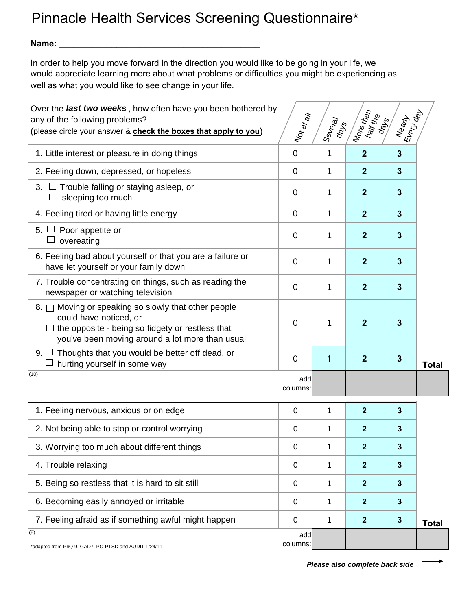## Pinnacle Health Services Screening Questionnaire\*

**Name: \_\_\_\_\_\_\_\_\_\_\_\_\_\_\_\_\_\_\_\_\_\_\_\_\_\_\_\_\_\_\_\_\_\_\_\_\_\_\_\_\_\_**

In order to help you move forward in the direction you would like to be going in your life, we would appreciate learning more about what problems or difficulties you might be experiencing as well as what you would like to see change in your life.

| Over the last two weeks, how often have you been bothered by<br>any of the following problems?<br>(please circle your answer & check the boxes that apply to you)                                | $ N_{O\ell}}_{\alpha\ell}$ | ISeveray<br>days | More than<br>half the | Nearly<br>Every         |              |
|--------------------------------------------------------------------------------------------------------------------------------------------------------------------------------------------------|----------------------------|------------------|-----------------------|-------------------------|--------------|
| 1. Little interest or pleasure in doing things                                                                                                                                                   | $\mathbf 0$                | 1                | $\boldsymbol{2}$      | $\mathbf{3}$            |              |
| 2. Feeling down, depressed, or hopeless                                                                                                                                                          | $\overline{0}$             | 1                | $\overline{2}$        | $\mathbf{3}$            |              |
| 3. $\Box$ Trouble falling or staying asleep, or<br>sleeping too much                                                                                                                             | $\mathbf 0$                | 1                | $\overline{2}$        | $\mathbf{3}$            |              |
| 4. Feeling tired or having little energy                                                                                                                                                         | $\mathbf 0$                | 1                | $\boldsymbol{2}$      | $\mathbf{3}$            |              |
| 5. $\Box$ Poor appetite or<br>overeating                                                                                                                                                         | 0                          | 1                | $\overline{2}$        | $\mathbf{3}$            |              |
| 6. Feeling bad about yourself or that you are a failure or<br>have let yourself or your family down                                                                                              | $\overline{0}$             | 1                | $\overline{2}$        | $\overline{\mathbf{3}}$ |              |
| 7. Trouble concentrating on things, such as reading the<br>newspaper or watching television                                                                                                      | 0                          | 1                | $\overline{2}$        | $\mathbf{3}$            |              |
| 8. $\Box$ Moving or speaking so slowly that other people<br>could have noticed, or<br>$\Box$ the opposite - being so fidgety or restless that<br>you've been moving around a lot more than usual | 0                          | 1                | $\mathbf 2$           | 3                       |              |
| $9. \Box$ Thoughts that you would be better off dead, or<br>$\Box$ hurting yourself in some way                                                                                                  | $\overline{0}$             | 1                | $\overline{2}$        | $\mathbf{3}$            | <b>Total</b> |
| (10)                                                                                                                                                                                             | add<br>columns:            |                  |                       |                         |              |
| 1. Feeling nervous, anxious or on edge                                                                                                                                                           | $\Omega$                   | 1                | $\boldsymbol{2}$      | $\mathbf{3}$            |              |
| 2. Not being able to stop or control worrying                                                                                                                                                    | 0                          | 1                | $\mathbf{2}$          | 3                       |              |
| 3. Worrying too much about different things                                                                                                                                                      | $\pmb{0}$                  | 1                | $\mathbf{2}$          | 3                       |              |
| 4. Trouble relaxing                                                                                                                                                                              | $\pmb{0}$                  | 1                | $\overline{2}$        | $\mathbf{3}$            |              |
| 5. Being so restless that it is hard to sit still                                                                                                                                                | $\mathbf 0$                | 1                | $\overline{2}$        | $\mathbf{3}$            |              |
| 6. Becoming easily annoyed or irritable                                                                                                                                                          | $\mathbf 0$                | 1                | $\overline{2}$        | $\mathbf{3}$            |              |
| 7. Feeling afraid as if something awful might happen                                                                                                                                             | $\pmb{0}$                  | 1                | $\overline{2}$        | $\mathbf{3}$            | <b>Total</b> |
| (8)<br>*adapted from PhQ 9, GAD7, PC-PTSD and AUDIT 1/24/11                                                                                                                                      | add<br>columns:            |                  |                       |                         |              |